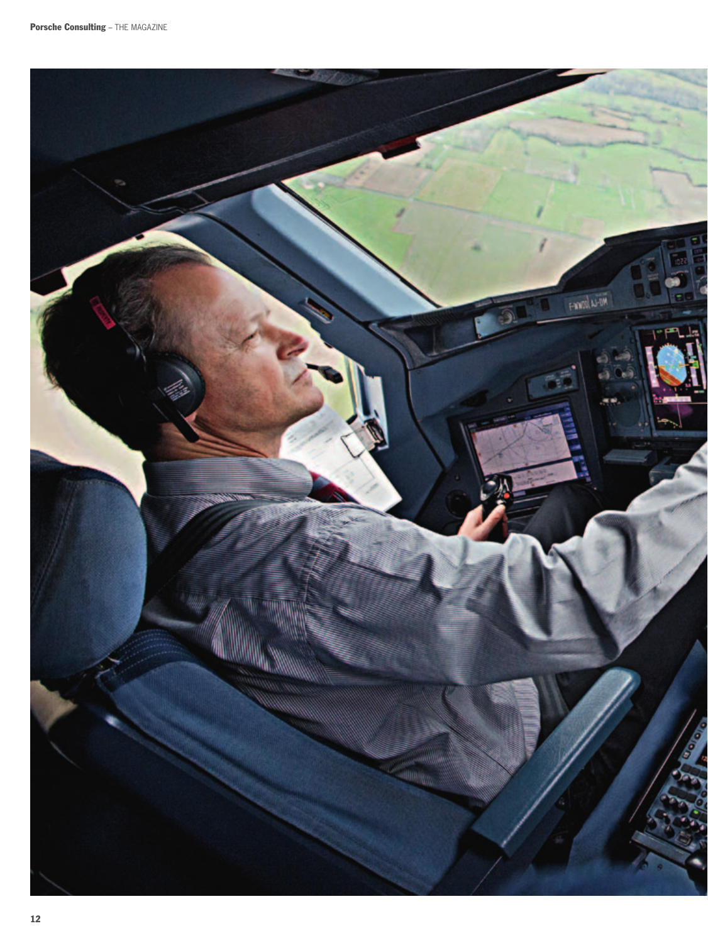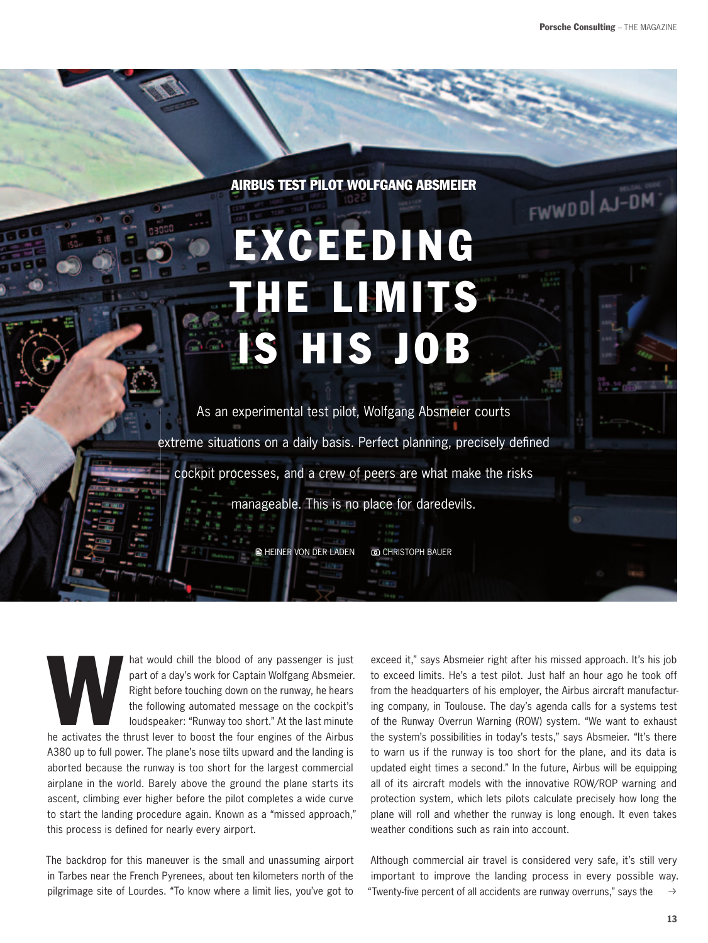FWWDD AJ-DM

## E XCEEDING **HE LIMITS** S HIS JOB

AIRBUS TEST PILOT WOLFGANG ABSMEIER

As an experimental test pilot, Wolfgang Absmeier courts extreme situations on a daily basis. Perfect planning, precisely defined

cockpit processes, and a crew of peers are what make the risks

manageable. This is no place for daredevils.

**A** HEINER VON DER LADEN CO CHRISTOPH BAUER

hat would chill the blood of any passenger is just<br>part of a day's work for Captain Wolfgang Absmeier.<br>Right before touching down on the runway, he hears<br>the following automated message on the cockpit's<br>loudspeaker: "Runwa part of a day's work for Captain Wolfgang Absmeier. Right before touching down on the runway, he hears the following automated message on the cockpit's loudspeaker: "Runway too short." At the last minute

A380 up to full power. The plane's nose tilts upward and the landing is aborted because the runway is too short for the largest commercial airplane in the world. Barely above the ground the plane starts its ascent, climbing ever higher before the pilot completes a wide curve to start the landing procedure again. Known as a "missed approach," this process is defined for nearly every airport.

The backdrop for this maneuver is the small and unassuming airport in Tarbes near the French Pyrenees, about ten kilometers north of the pilgrimage site of Lourdes. "To know where a limit lies, you've got to

exceed it," says Absmeier right after his missed approach. It's his job to exceed limits. he's a test pilot. Just half an hour ago he took off from the headquarters of his employer, the Airbus aircraft manufacturing company, in Toulouse. The day's agenda calls for a systems test of the Runway Overrun Warning (ROW) system. "We want to exhaust the system's possibilities in today's tests," says Absmeier. "It's there to warn us if the runway is too short for the plane, and its data is updated eight times a second." In the future, Airbus will be equipping all of its aircraft models with the innovative ROW/ROP warning and protection system, which lets pilots calculate precisely how long the plane will roll and whether the runway is long enough. It even takes weather conditions such as rain into account.

 $\rightarrow$ Although commercial air travel is considered very safe, it's still very important to improve the landing process in every possible way. "twenty-five percent of all accidents are runway overruns," says the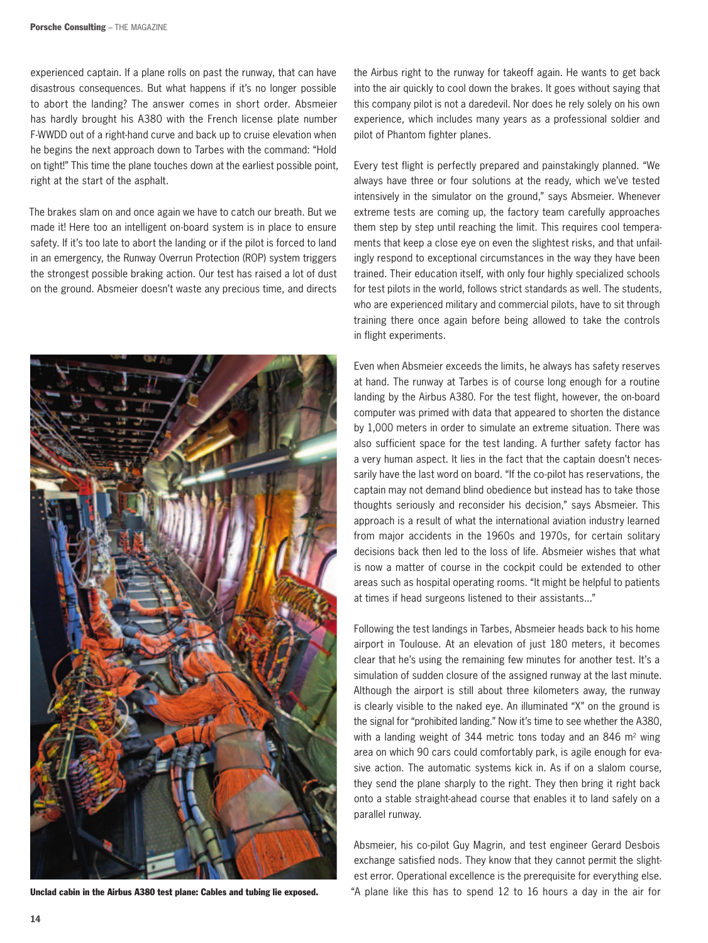experienced captain. If a plane rolls on past the runway, that can have disastrous consequences. But what happens if it's no longer possible to abort the landing? The answer comes in short order. Absmeier has hardly brought his A380 with the French license plate number F-WWDD out of a right-hand curve and back up to cruise elevation when he begins the next approach down to Tarbes with the command: "Hold on tight!" This time the plane touches down at the earliest possible point, right at the start of the asphalt.

The brakes slam on and once again we have to catch our breath. But we made it! Here too an intelligent on-board system is in place to ensure safety. If it's too late to abort the landing or if the pilot is forced to land in an emergency, the Runway Overrun Protection (ROP) system triggers the strongest possible braking action. Our test has raised a lot of dust on the ground. Absmeier doesn't waste any precious time, and directs



the Airbus right to the runway for takeoff again. He wants to get back into the air quickly to cool down the brakes. It goes without saying that this company pilot is not a daredevil. Nor does he rely solely on his own experience, which includes many years as a professional soldier and pilot of Phantom fighter planes.

Every test flight is perfectly prepared and painstakingly planned. "We always have three or four solutions at the ready, which we've tested intensively in the simulator on the ground," says Absmeier. Whenever extreme tests are coming up, the factory team carefully approaches them step by step until reaching the limit. This requires cool temperaments that keep a close eye on even the slightest risks, and that unfailingly respond to exceptional circumstances in the way they have been trained. Their education itself, with only four highly specialized schools for test pilots in the world, follows strict standards as well. The students, who are experienced military and commercial pilots, have to sit through training there once again before being allowed to take the controls in flight experiments.

Even when Absmeier exceeds the limits, he always has safety reserves at hand. The runway at Tarbes is of course long enough for a routine landing by the Airbus A380. For the test flight, however, the on-board computer was primed with data that appeared to shorten the distance by 1,000 meters in order to simulate an extreme situation. There was also sufficient space for the test landing. A further safety factor has a very human aspect. It lies in the fact that the captain doesn't necessarily have the last word on board. "If the co-pilot has reservations, the captain may not demand blind obedience but instead has to take those thoughts seriously and reconsider his decision," says Absmeier. This approach is a result of what the international aviation industry learned from major accidents in the 1960s and 1970s, for certain solitary decisions back then led to the loss of life. Absmeier wishes that what is now a matter of course in the cockpit could be extended to other areas such as hospital operating rooms. "It might be helpful to patients at times if head surgeons listened to their assistants..."

Following the test landings in Tarbes, Absmeier heads back to his home airport in Toulouse. At an elevation of just 180 meters, it becomes clear that he's using the remaining few minutes for another test. It's a simulation of sudden closure of the assigned runway at the last minute. Although the airport is still about three kilometers away, the runway is clearly visible to the naked eye. An illuminated "X" on the ground is the signal for "prohibited landing." Now it's time to see whether the A380, with a landing weight of 344 metric tons today and an 846  $m<sup>2</sup>$  wing area on which 90 cars could comfortably park, is agile enough for evasive action. The automatic systems kick in. As if on a slalom course, they send the plane sharply to the right. They then bring it right back onto a stable straight-ahead course that enables it to land safely on a parallel runway.

Absmeier, his co-pilot Guy Magrin, and test engineer Gerard Desbois exchange satisfied nods. They know that they cannot permit the slightest error. Operational excellence is the prerequisite for everything else. Unclad cabin in the Airbus A380 test plane: Cables and tubing lie exposed. "A plane like this has to spend 12 to 16 hours a day in the air for